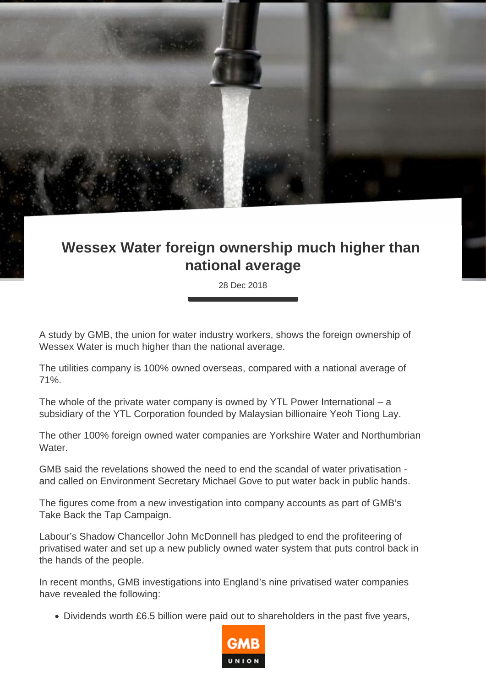## **Wessex Water foreign ownership much higher than national average**

28 Dec 2018

A study by GMB, the union for water industry workers, shows the foreign ownership of Wessex Water is much higher than the national average.

The utilities company is 100% owned overseas, compared with a national average of 71%.

The whole of the private water company is owned by YTL Power International  $-$  a subsidiary of the YTL Corporation founded by Malaysian billionaire Yeoh Tiong Lay.

The other 100% foreign owned water companies are Yorkshire Water and Northumbrian Water.

GMB said the revelations showed the need to end the scandal of water privatisation and called on Environment Secretary Michael Gove to put water back in public hands.

The figures come from a new investigation into company accounts as part of GMB's Take Back the Tap Campaign.

Labour's Shadow Chancellor John McDonnell has pledged to end the profiteering of privatised water and set up a new publicly owned water system that puts control back in the hands of the people.

In recent months, GMB investigations into England's nine privatised water companies have revealed the following:

Dividends worth £6.5 billion were paid out to shareholders in the past five years,